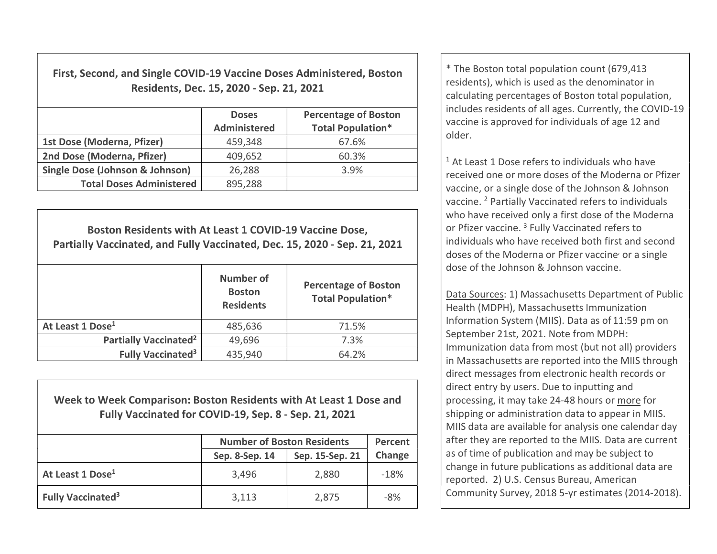First, Second, and Single COVID-19 Vaccine Doses Administered, Boston Residents, Dec. 15, 2020 - Sep. 21, 2021

|                                            | <b>Doses</b><br>Administered | <b>Percentage of Boston</b><br><b>Total Population*</b> |
|--------------------------------------------|------------------------------|---------------------------------------------------------|
| 1st Dose (Moderna, Pfizer)                 | 459,348                      | 67.6%                                                   |
| 2nd Dose (Moderna, Pfizer)                 | 409,652                      | 60.3%                                                   |
| <b>Single Dose (Johnson &amp; Johnson)</b> | 26,288                       | 3.9%                                                    |
| <b>Total Doses Administered</b>            | 895,288                      |                                                         |

Boston Residents with At Least 1 COVID-19 Vaccine Dose, Partially Vaccinated, and Fully Vaccinated, Dec. 15, 2020 - Sep. 21, 2021 Number of **Boston Residents** Percentage of Boston Total Population\* At Least 1 Dose<sup>1</sup> 185.636 1 21.5% Partially Vaccinated<sup>2</sup>  $\vert$  49,696  $\vert$  7.3% Fully Vaccinated<sup>3</sup> 435,940  $\vert$  64.2%

Week to Week Comparison: Boston Residents with At Least 1 Dose and Fully Vaccinated for COVID-19, Sep. 8 - Sep. 21, 2021

|                                      | <b>Number of Boston Residents</b> | Percent         |        |
|--------------------------------------|-----------------------------------|-----------------|--------|
|                                      | Sep. 8-Sep. 14                    | Sep. 15-Sep. 21 | Change |
| At Least 1 Dose <sup>1</sup>         | 3,496                             | 2,880           | $-18%$ |
| <b>Fully Vaccinated</b> <sup>3</sup> | 3,113                             | 2,875           | $-8%$  |

\* The Boston total population count (679,413 residents), which is used as the denominator in calculating percentages of Boston total population, includes residents of all ages. Currently, the COVID-19 vaccine is approved for individuals of age 12 and older.

<sup>1</sup> At Least 1 Dose refers to individuals who have received one or more doses of the Moderna or Pfizer vaccine, or a single dose of the Johnson & Johnson vaccine. <sup>2</sup> Partially Vaccinated refers to individuals who have received only a first dose of the Moderna or Pfizer vaccine.<sup>3</sup> Fully Vaccinated refers to individuals who have received both first and second doses of the Moderna or Pfizer vaccine<sup>,</sup> or a single dose of the Johnson & Johnson vaccine.

Data Sources: 1) Massachusetts Department of Public Health (MDPH), Massachusetts Immunization Information System (MIIS). Data as of 11:59 pm on September 21st, 2021. Note from MDPH: Immunization data from most (but not all) providers in Massachusetts are reported into the MIIS through direct messages from electronic health records or direct entry by users. Due to inputting and processing, it may take 24-48 hours or more for shipping or administration data to appear in MIIS. MIIS data are available for analysis one calendar day after they are reported to the MIIS. Data are current as of time of publication and may be subject to change in future publications as additional data are reported. 2) U.S. Census Bureau, American Community Survey, 2018 5-yr estimates (2014-2018).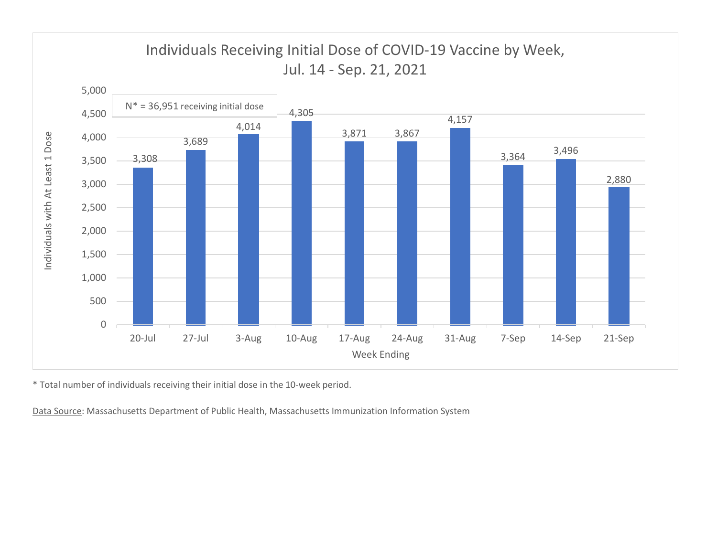

\* Total number of individuals receiving their initial dose in the 10-week period.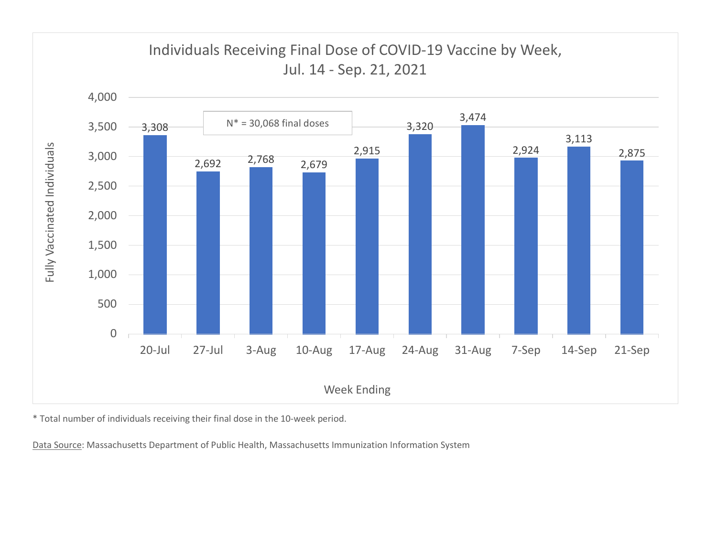

\* Total number of individuals receiving their final dose in the 10-week period.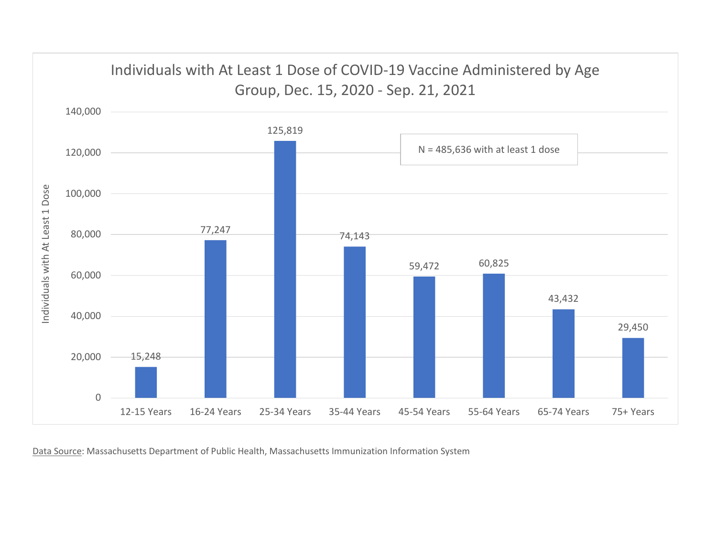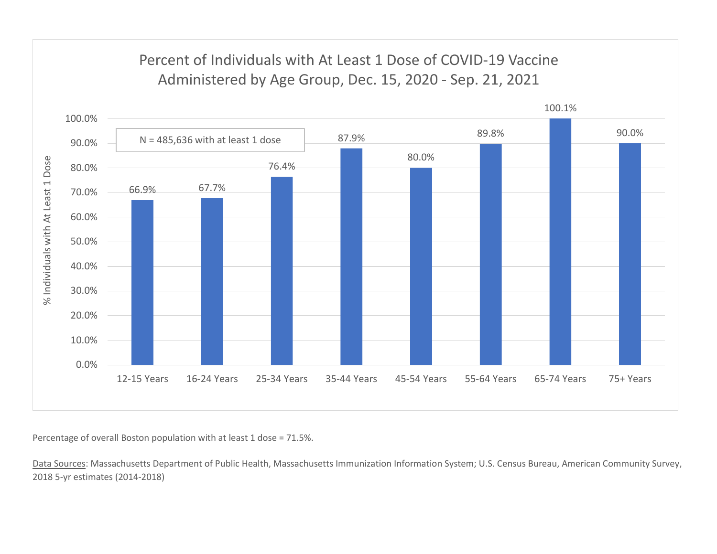## Percent of Individuals with At Least 1 Dose of COVID-19 Vaccine



Percentage of overall Boston population with at least 1 dose = 71.5%.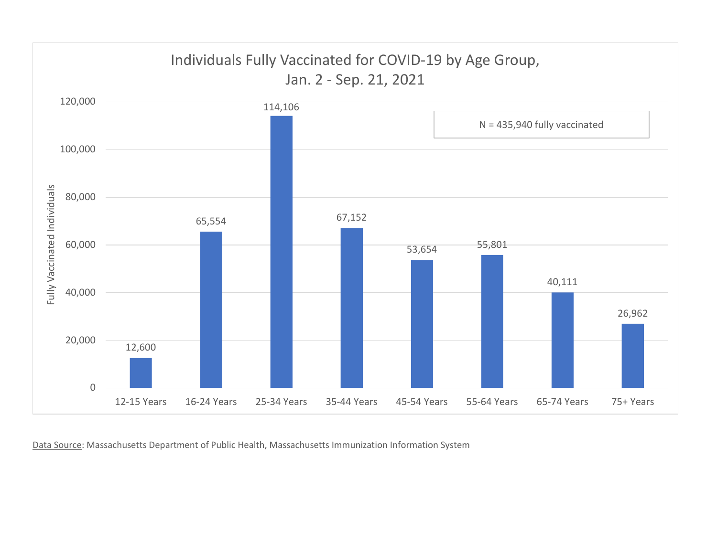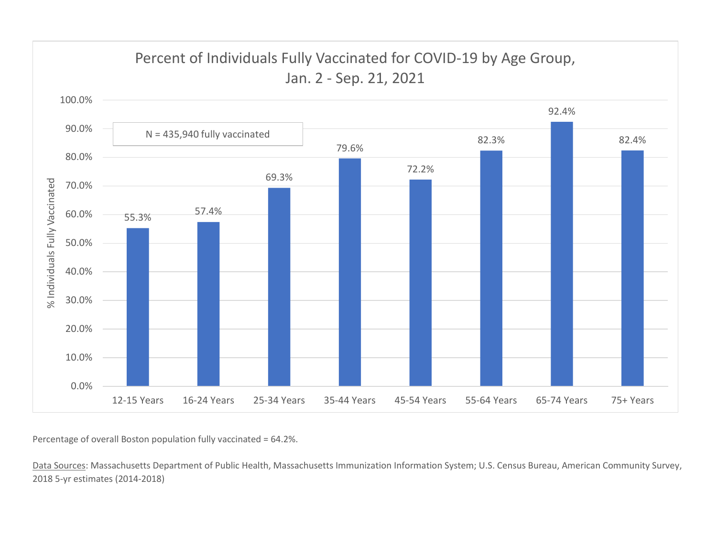

Percentage of overall Boston population fully vaccinated = 64.2%.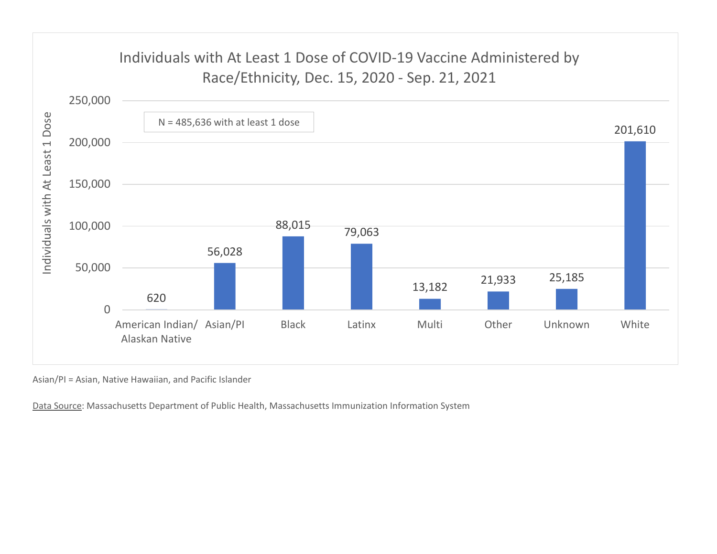![](_page_7_Figure_0.jpeg)

Asian/PI = Asian, Native Hawaiian, and Pacific Islander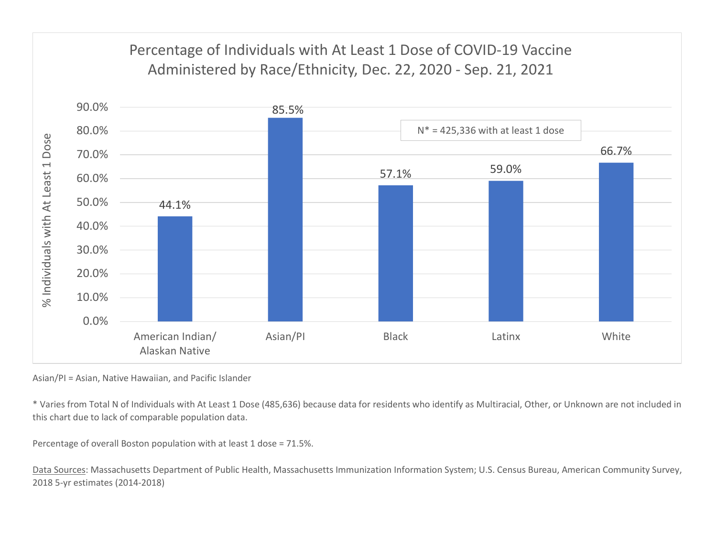![](_page_8_Figure_0.jpeg)

Asian/PI = Asian, Native Hawaiian, and Pacific Islander

\* Varies from Total N of Individuals with At Least 1 Dose (485,636) because data for residents who identify as Multiracial, Other, or Unknown are not included in this chart due to lack of comparable population data.

Percentage of overall Boston population with at least 1 dose = 71.5%.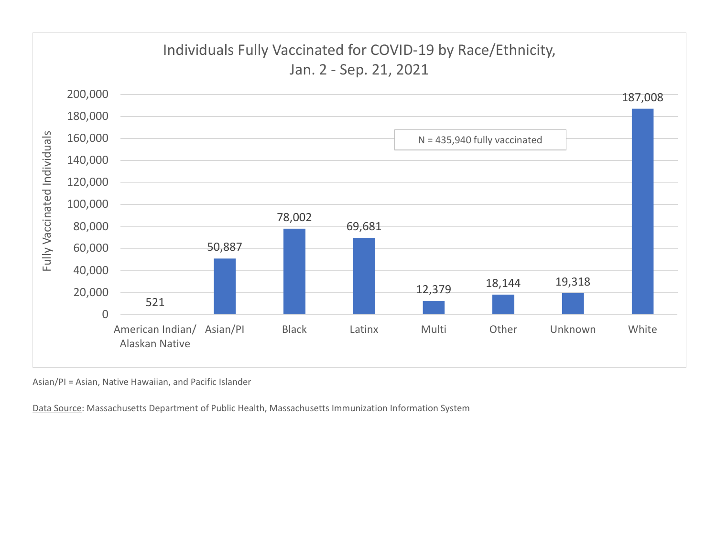![](_page_9_Figure_0.jpeg)

Asian/PI = Asian, Native Hawaiian, and Pacific Islander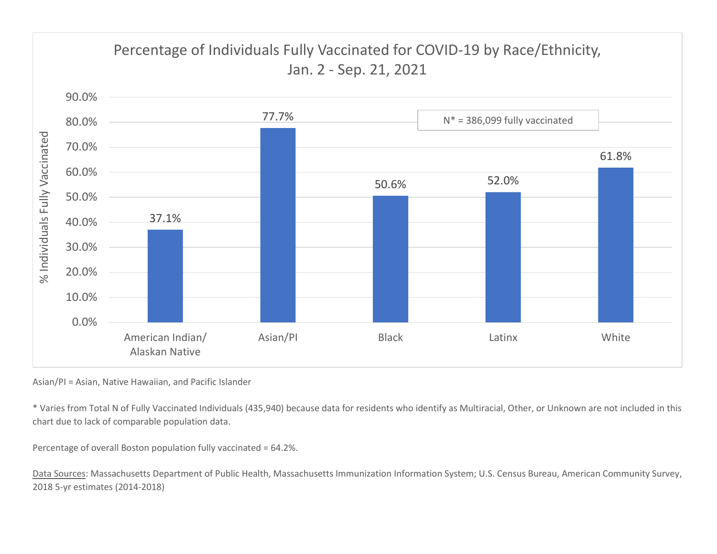![](_page_10_Figure_0.jpeg)

Asian/PI = Asian, Native Hawaiian, and Pacific Islander

\* Varies from Total N of Fully Vaccinated Individuals (435,940) because data for residents who identify as Multiracial, Other, or Unknown are not included in this chart due to lack of comparable population data.

Percentage of overall Boston population fully vaccinated = 64.2%.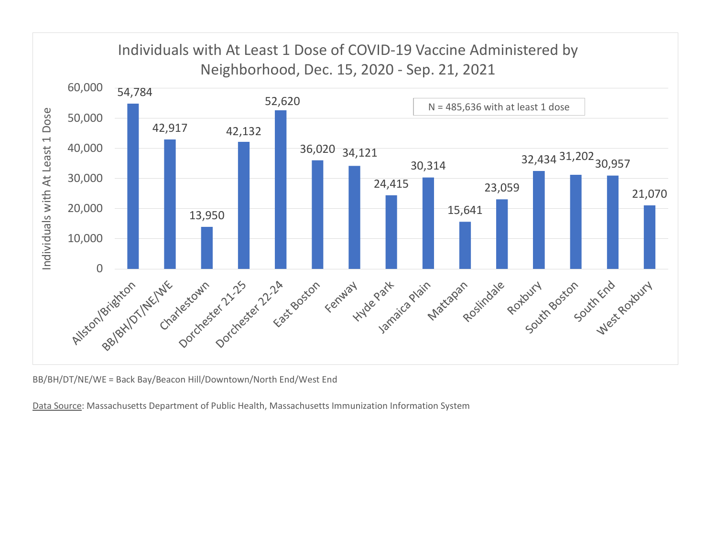![](_page_11_Figure_0.jpeg)

BB/BH/DT/NE/WE = Back Bay/Beacon Hill/Downtown/North End/West End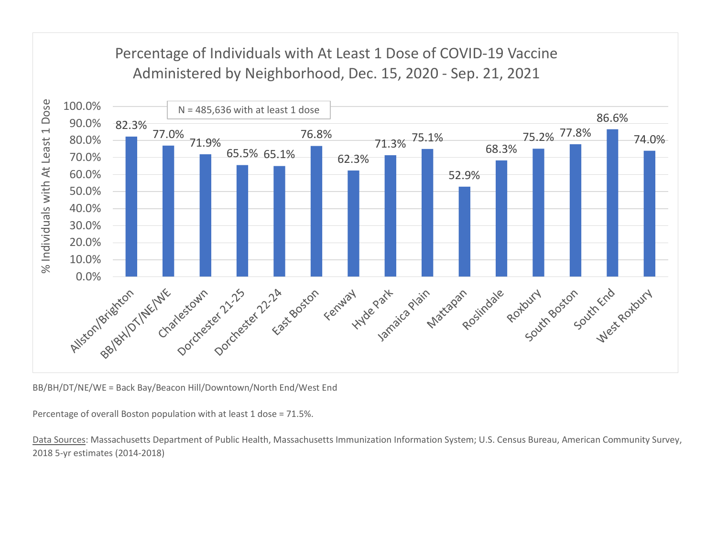## Percentage of Individuals with At Least 1 Dose of COVID-19 Vaccine

![](_page_12_Figure_1.jpeg)

BB/BH/DT/NE/WE = Back Bay/Beacon Hill/Downtown/North End/West End

Percentage of overall Boston population with at least 1 dose = 71.5%.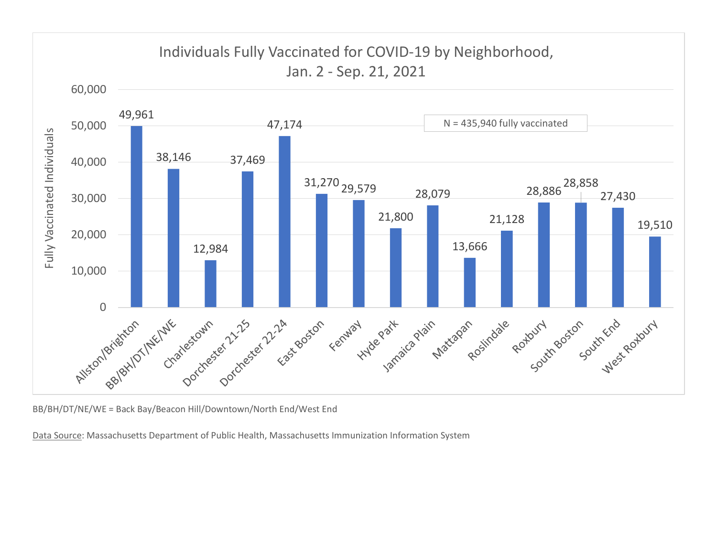![](_page_13_Figure_0.jpeg)

BB/BH/DT/NE/WE = Back Bay/Beacon Hill/Downtown/North End/West End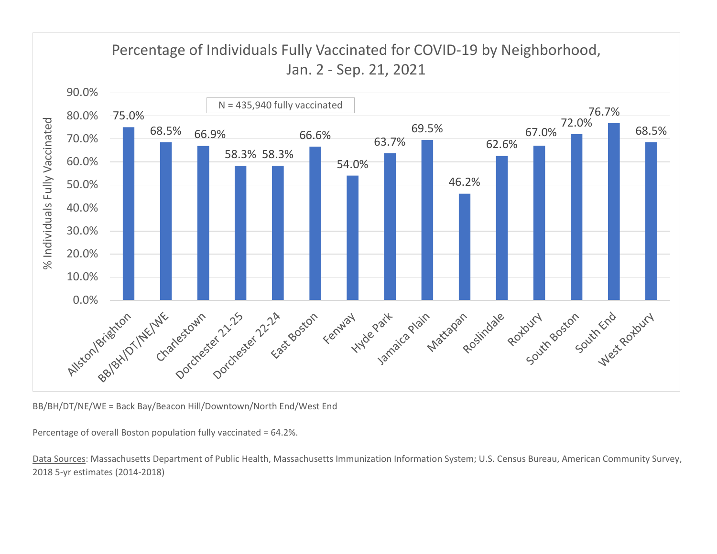![](_page_14_Figure_0.jpeg)

BB/BH/DT/NE/WE = Back Bay/Beacon Hill/Downtown/North End/West End

Percentage of overall Boston population fully vaccinated = 64.2%.